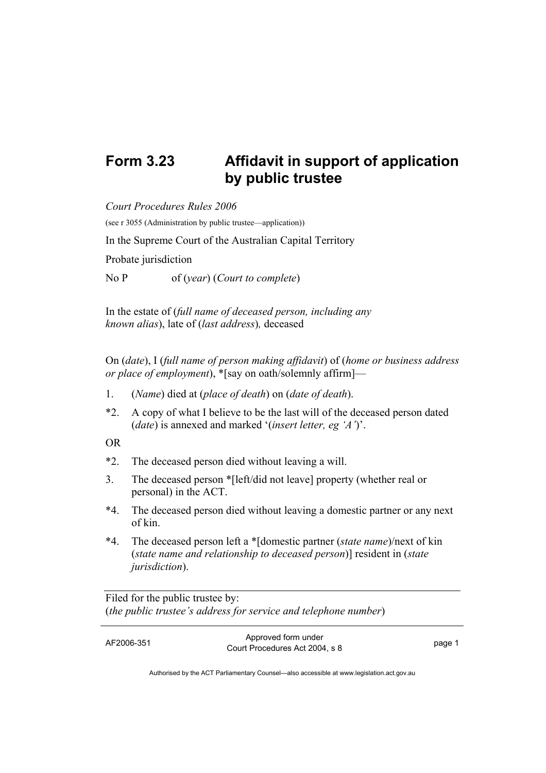## **Form 3.23 Affidavit in support of application by public trustee**

*Court Procedures Rules 2006*  (see r 3055 (Administration by public trustee—application)) In the Supreme Court of the Australian Capital Territory Probate jurisdiction No P of (*year*) (*Court to complete*)

In the estate of (*full name of deceased person, including any known alias*), late of (*last address*)*,* deceased

On (*date*), I (*full name of person making affidavit*) of (*home or business address or place of employment*), \*[say on oath/solemnly affirm]—

- 1. (*Name*) died at (*place of death*) on (*date of death*).
- \*2. A copy of what I believe to be the last will of the deceased person dated (*date*) is annexed and marked '(*insert letter, eg 'A'*)'.

OR

- \*2. The deceased person died without leaving a will.
- 3. The deceased person \*[left/did not leave] property (whether real or personal) in the ACT.
- \*4. The deceased person died without leaving a domestic partner or any next of kin.
- \*4. The deceased person left a \*[domestic partner (*state name*)/next of kin (*state name and relationship to deceased person*)] resident in (*state jurisdiction*).

Filed for the public trustee by: (*the public trustee's address for service and telephone number*)

AF2006-351 Approved form under Provide form and the set of the set of the page 1 page 1

Authorised by the ACT Parliamentary Counsel—also accessible at www.legislation.act.gov.au